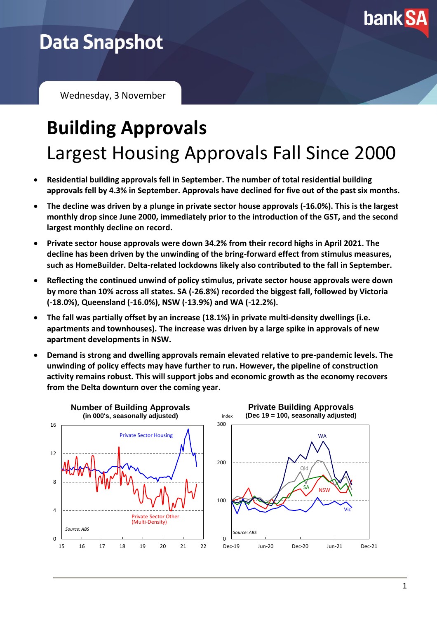

## **Data Snapshot**

Wednesday, 3 November

## **Building Approvals** Largest Housing Approvals Fall Since 2000

- **Residential building approvals fell in September. The number of total residential building approvals fell by 4.3% in September. Approvals have declined for five out of the past six months.**
- **The decline was driven by a plunge in private sector house approvals (-16.0%). This is the largest monthly drop since June 2000, immediately prior to the introduction of the GST, and the second largest monthly decline on record.**
- **Private sector house approvals were down 34.2% from their record highs in April 2021. The decline has been driven by the unwinding of the bring-forward effect from stimulus measures, such as HomeBuilder. Delta-related lockdowns likely also contributed to the fall in September.**
- **Reflecting the continued unwind of policy stimulus, private sector house approvals were down by more than 10% across all states. SA (-26.8%) recorded the biggest fall, followed by Victoria (-18.0%), Queensland (-16.0%), NSW (-13.9%) and WA (-12.2%).**
- **The fall was partially offset by an increase (18.1%) in private multi-density dwellings (i.e. apartments and townhouses). The increase was driven by a large spike in approvals of new apartment developments in NSW.**
- **Demand is strong and dwelling approvals remain elevated relative to pre-pandemic levels. The unwinding of policy effects may have further to run. However, the pipeline of construction activity remains robust. This will support jobs and economic growth as the economy recovers from the Delta downturn over the coming year.**

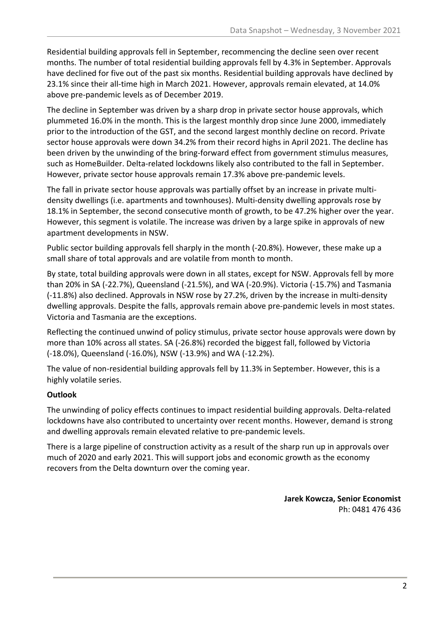Residential building approvals fell in September, recommencing the decline seen over recent months. The number of total residential building approvals fell by 4.3% in September. Approvals have declined for five out of the past six months. Residential building approvals have declined by 23.1% since their all-time high in March 2021. However, approvals remain elevated, at 14.0% above pre-pandemic levels as of December 2019.

The decline in September was driven by a sharp drop in private sector house approvals, which plummeted 16.0% in the month. This is the largest monthly drop since June 2000, immediately prior to the introduction of the GST, and the second largest monthly decline on record. Private sector house approvals were down 34.2% from their record highs in April 2021. The decline has been driven by the unwinding of the bring-forward effect from government stimulus measures, such as HomeBuilder. Delta-related lockdowns likely also contributed to the fall in September. However, private sector house approvals remain 17.3% above pre-pandemic levels.

The fall in private sector house approvals was partially offset by an increase in private multidensity dwellings (i.e. apartments and townhouses). Multi-density dwelling approvals rose by 18.1% in September, the second consecutive month of growth, to be 47.2% higher over the year. However, this segment is volatile. The increase was driven by a large spike in approvals of new apartment developments in NSW.

Public sector building approvals fell sharply in the month (-20.8%). However, these make up a small share of total approvals and are volatile from month to month.

By state, total building approvals were down in all states, except for NSW. Approvals fell by more than 20% in SA (-22.7%), Queensland (-21.5%), and WA (-20.9%). Victoria (-15.7%) and Tasmania (-11.8%) also declined. Approvals in NSW rose by 27.2%, driven by the increase in multi-density dwelling approvals. Despite the falls, approvals remain above pre-pandemic levels in most states. Victoria and Tasmania are the exceptions.

Reflecting the continued unwind of policy stimulus, private sector house approvals were down by more than 10% across all states. SA (-26.8%) recorded the biggest fall, followed by Victoria (-18.0%), Queensland (-16.0%), NSW (-13.9%) and WA (-12.2%).

The value of non-residential building approvals fell by 11.3% in September. However, this is a highly volatile series.

## **Outlook**

The unwinding of policy effects continues to impact residential building approvals. Delta-related lockdowns have also contributed to uncertainty over recent months. However, demand is strong and dwelling approvals remain elevated relative to pre-pandemic levels.

There is a large pipeline of construction activity as a result of the sharp run up in approvals over much of 2020 and early 2021. This will support jobs and economic growth as the economy recovers from the Delta downturn over the coming year.

> **Jarek Kowcza, Senior Economist** Ph: 0481 476 436